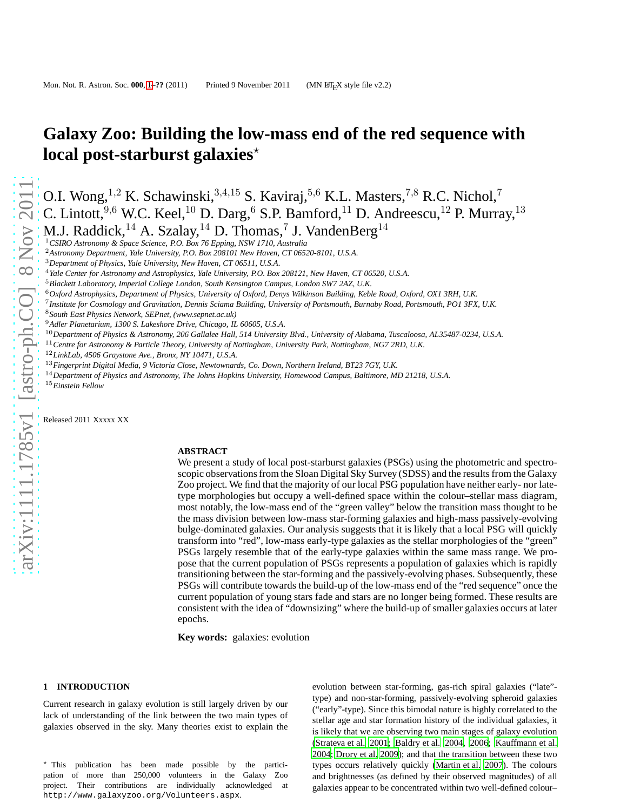# **Galaxy Zoo: Building the low-mass end of the red sequence with local post-starburst galaxies**<sup>\*</sup>

O.I. Wong,<sup>1,2</sup> K. Schawinski,<sup>3,4,15</sup> S. Kaviraj,<sup>5,6</sup> K.L. Masters,<sup>7,8</sup> R.C. Nichol,<sup>7</sup> C. Lintott, <sup>9,6</sup> W.C. Keel, <sup>10</sup> D. Darg, <sup>6</sup> S.P. Bamford, <sup>11</sup> D. Andreescu, <sup>12</sup> P. Murray, <sup>13</sup>

M.J. Raddick,  $^{14}$  A. Szalay,  $^{14}$  D. Thomas,  $^{7}$  J. VandenBerg $^{14}$ 

<sup>1</sup>*CSIRO Astronomy & Space Science, P.O. Box 76 Epping, NSW 1710, Australia*

<sup>2</sup>*Astronomy Department, Yale University, P.O. Box 208101 New Haven, CT 06520-8101, U.S.A.*

<sup>6</sup>*Oxford Astrophysics, Department of Physics, University of Oxford, Denys Wilkinson Building, Keble Road, Oxford, OX1 3RH, U.K.*

7 *Institute for Cosmology and Gravitation, Dennis Sciama Building, University of Portsmouth, Burnaby Road, Portsmouth, PO1 3FX, U.K.*

<sup>8</sup>*South East Physics Network, SEPnet, (www.sepnet.ac.uk)*

<sup>9</sup>*Adler Planetarium, 1300 S. Lakeshore Drive, Chicago, IL 60605, U.S.A.*

<sup>10</sup>*Department of Physics & Astronomy, 206 Gallalee Hall, 514 University Blvd., University of Alabama, Tuscaloosa, AL35487-0234, U.S.A.*

<sup>11</sup>*Centre for Astronomy & Particle Theory, University of Nottingham, University Park, Nottingham, NG7 2RD, U.K.*

<sup>12</sup>*LinkLab, 4506 Graystone Ave., Bronx, NY 10471, U.S.A.*

<sup>13</sup>*Fingerprint Digital Media, 9 Victoria Close, Newtownards, Co. Down, Northern Ireland, BT23 7GY, U.K.*

<sup>14</sup>*Department of Physics and Astronomy, The Johns Hopkins University, Homewood Campus, Baltimore, MD 21218, U.S.A.*

<sup>15</sup>*Einstein Fellow*

Released 2011 Xxxxx XX

### **ABSTRACT**

We present a study of local post-starburst galaxies (PSGs) using the photometric and spectroscopic observations from the Sloan Digital Sky Survey (SDSS) and the results from the Galaxy Zoo project. We find that the majority of our local PSG population have neither early- nor latetype morphologies but occupy a well-defined space within the colour–stellar mass diagram, most notably, the low-mass end of the "green valley" below the transition mass thought to be the mass division between low-mass star-forming galaxies and high-mass passively-evolving bulge-dominated galaxies. Our analysis suggests that it is likely that a local PSG will quickly transform into "red", low-mass early-type galaxies as the stellar morphologies of the "green" PSGs largely resemble that of the early-type galaxies within the same mass range. We propose that the current population of PSGs represents a population of galaxies which is rapidly transitioning between the star-forming and the passively-evolving phases. Subsequently, these PSGs will contribute towards the build-up of the low-mass end of the "red sequence" once the current population of young stars fade and stars are no longer being formed. These results are consistent with the idea of "downsizing" where the build-up of smaller galaxies occurs at later epochs.

**Key words:** galaxies: evolution

### **1 INTRODUCTION**

Current research in galaxy evolution is still largely driven by our lack of understanding of the link between the two main types of galaxies observed in the sky. Many theories exist to explain the

<sup>⋆</sup> This publication has been made possible by the participation of more than 250,000 volunteers in the Galaxy Zoo project. Their contributions are individually acknowledged at http://www.galaxyzoo.org/Volunteers.aspx.

evolution between star-forming, gas-rich spiral galaxies ("late" type) and non-star-forming, passively-evolving spheroid galaxies ("early"-type). Since this bimodal nature is highly correlated to the stellar age and star formation history of the individual galaxies, it is likely that we are observing two main stages of galaxy evolution [\(Strateva et al. 2001](#page-8-0); [Baldry et al. 2004](#page-7-0), [2006](#page-7-1); [Kauffmann et](#page-7-2) al. [2004](#page-7-2); [Drory et al. 2009](#page-7-3)); and that the transition between these two types occurs relatively quickly [\(Martin et al. 2007](#page-7-4)). The colours and brightnesses (as defined by their observed magnitudes) of all galaxies appear to be concentrated within two well-defined colour–

<sup>3</sup>*Department of Physics, Yale University, New Haven, CT 06511, U.S.A.*

<sup>4</sup>*Yale Center for Astronomy and Astrophysics, Yale University, P.O. Box 208121, New Haven, CT 06520, U.S.A.*

<sup>5</sup>*Blackett Laboratory, Imperial College London, South Kensington Campus, London SW7 2AZ, U.K.*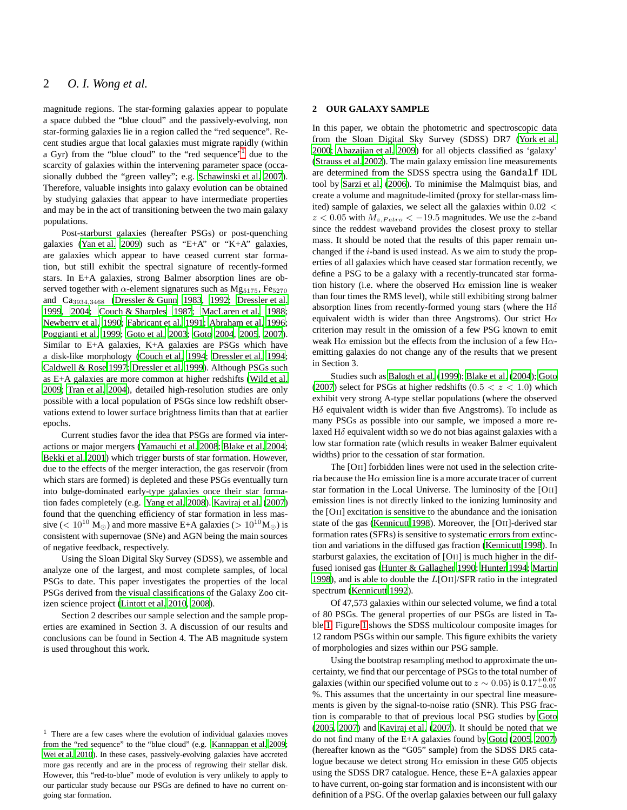magnitude regions. The star-forming galaxies appear to populate a space dubbed the "blue cloud" and the passively-evolving, non star-forming galaxies lie in a region called the "red sequence". Recent studies argue that local galaxies must migrate rapidly (within a Gyr) from the "blue cloud" to the "red sequence"<sup>[1](#page-1-0)</sup> due to the scarcity of galaxies within the intervening parameter space (occasionally dubbed the "green valley"; e.g. [Schawinski et al. 2007\)](#page-8-1). Therefore, valuable insights into galaxy evolution can be obtained by studying galaxies that appear to have intermediate properties and may be in the act of transitioning between the two main galaxy populations.

Post-starburst galaxies (hereafter PSGs) or post-quenching galaxies [\(Yan et al. 2009](#page-8-2)) such as "E+A" or "K+A" galaxies, are galaxies which appear to have ceased current star formation, but still exhibit the spectral signature of recently-formed stars. In E+A galaxies, strong Balmer absorption lines are observed together with  $\alpha$ -element signatures such as Mg<sub>5175</sub>, Fe<sub>5270</sub> and Ca3934,<sup>3468</sup> [\(Dressler & Gunn 1983](#page-7-5), [1992](#page-7-6); [Dressler et al.](#page-7-7) [1999](#page-7-7), [2004](#page-7-8); [Couch & Sharples 1987](#page-7-9); [MacLaren et al. 1988;](#page-7-10) [Newberry et al. 1990](#page-7-11); [Fabricant et al. 1991;](#page-7-12) [Abraham et al. 1996;](#page-7-13) [Poggianti et al. 1999](#page-7-14); [Goto et al. 2003;](#page-7-15) [Goto 2004](#page-7-16), [2005](#page-7-17), [2007](#page-7-18)). Similar to E+A galaxies, K+A galaxies are PSGs which have a disk-like morphology [\(Couch et al. 1994;](#page-7-19) [Dressler et al. 1994;](#page-7-20) [Caldwell & Rose 1997](#page-7-21); [Dressler et al. 1999\)](#page-7-7). Although PSGs such as E+A galaxies are more common at higher redshifts [\(Wild et al.](#page-8-3) [2009](#page-8-3); [Tran et al. 2004](#page-8-4)), detailed high-resolution studies are only possible with a local population of PSGs since low redshift observations extend to lower surface brightness limits than that at earlier epochs.

Current studies favor the idea that PSGs are formed via interactions or major mergers [\(Yamauchi et al. 2008](#page-8-5); [Blake et al. 2004;](#page-7-22) [Bekki et al. 2001](#page-7-23)) which trigger bursts of star formation. However, due to the effects of the merger interaction, the gas reservoir (from which stars are formed) is depleted and these PSGs eventually turn into bulge-dominated early-type galaxies once their star formation fades completely (e.g. [Yang et al. 2008](#page-8-6)). [Kaviraj et al.](#page-7-24) [\(2007](#page-7-24)) found that the quenching efficiency of star formation in less massive (<  $10^{10}$  M<sub>☉</sub>) and more massive E+A galaxies (>  $10^{10}$ M<sub>☉</sub>) is consistent with supernovae (SNe) and AGN being the main sources of negative feedback, respectively.

Using the Sloan Digital Sky Survey (SDSS), we assemble and analyze one of the largest, and most complete samples, of local PSGs to date. This paper investigates the properties of the local PSGs derived from the visual classifications of the Galaxy Zoo citizen science project [\(Lintott et al. 2010](#page-7-25), [2008\)](#page-7-26).

Section 2 describes our sample selection and the sample properties are examined in Section 3. A discussion of our results and conclusions can be found in Section 4. The AB magnitude system is used throughout this work.

### **2 OUR GALAXY SAMPLE**

In this paper, we obtain the photometric and spectroscopic data from the Sloan Digital Sky Survey (SDSS) DR7 [\(York et al.](#page-8-8) [2000](#page-8-8); [Abazajian et al. 2009](#page-7-28)) for all objects classified as 'galaxy' [\(Strauss et al. 2002\)](#page-8-9). The main galaxy emission line measurements are determined from the SDSS spectra using the Gandalf IDL tool by [Sarzi et al. \(2006\)](#page-7-29). To minimise the Malmquist bias, and create a volume and magnitude-limited (proxy for stellar-mass limited) sample of galaxies, we select all the galaxies within 0.02 <  $z < 0.05$  with  $M_{z, Petro} < -19.5$  magnitudes. We use the z-band since the reddest waveband provides the closest proxy to stellar mass. It should be noted that the results of this paper remain unchanged if the i-band is used instead. As we aim to study the properties of all galaxies which have ceased star formation recently, we define a PSG to be a galaxy with a recently-truncated star formation history (i.e. where the observed  $H\alpha$  emission line is weaker than four times the RMS level), while still exhibiting strong balmer absorption lines from recently-formed young stars (where the  $H\delta$ equivalent width is wider than three Angstroms). Our strict  $H\alpha$ criterion may result in the omission of a few PSG known to emit weak H $\alpha$  emission but the effects from the inclusion of a few H $\alpha$ emitting galaxies do not change any of the results that we present in Section 3.

Studies such as [Balogh et al. \(1999\)](#page-7-30); [Blake et al. \(2004\)](#page-7-22); [Goto](#page-7-18) [\(2007](#page-7-18)) select for PSGs at higher redshifts (0.5  $< z < 1.0$ ) which exhibit very strong A-type stellar populations (where the observed H $\delta$  equivalent width is wider than five Angstroms). To include as many PSGs as possible into our sample, we imposed a more relaxed  $H\delta$  equivalent width so we do not bias against galaxies with a low star formation rate (which results in weaker Balmer equivalent widths) prior to the cessation of star formation.

The [OII] forbidden lines were not used in the selection criteria because the H $\alpha$  emission line is a more accurate tracer of current star formation in the Local Universe. The luminosity of the [OII] emission lines is not directly linked to the ionizing luminosity and the [OII] excitation is sensitive to the abundance and the ionisation state of the gas [\(Kennicutt 1998](#page-7-31)). Moreover, the [OII]-derived star formation rates (SFRs) is sensitive to systematic errors from extinction and variations in the diffused gas fraction [\(Kennicutt](#page-7-31) [1998](#page-7-31)). In starburst galaxies, the excitation of [OII] is much higher in the diffused ionised gas [\(Hunter & Gallagher 1990;](#page-7-32) [Hunter 1994;](#page-7-33) [Martin](#page-7-34) [1998](#page-7-34)), and is able to double the L[OII]/SFR ratio in the integrated spectrum [\(Kennicutt 1992](#page-7-35)).

Of 47,573 galaxies within our selected volume, we find a total of 80 PSGs. The general properties of our PSGs are listed in Table [1.](#page-3-0) Figure [1](#page-4-0) shows the SDSS multicolour composite images for 12 random PSGs within our sample. This figure exhibits the variety of morphologies and sizes within our PSG sample.

Using the bootstrap resampling method to approximate the uncertainty, we find that our percentage of PSGs to the total number of galaxies (within our specified volume out to  $z \sim 0.05$ ) is  $0.17^{+0.07}_{-0.05}$ %. This assumes that the uncertainty in our spectral line measurements is given by the signal-to-noise ratio (SNR). This PSG fraction is comparable to that of previous local PSG studies by [Goto](#page-7-17) [\(2005](#page-7-17), [2007\)](#page-7-18) and [Kaviraj et al.](#page-7-24) [\(2007](#page-7-24)). It should be noted that we do not find many of the E+A galaxies found by [Goto \(2005,](#page-7-17) [2007](#page-7-18)) (hereafter known as the "G05" sample) from the SDSS DR5 catalogue because we detect strong  $H\alpha$  emission in these G05 objects using the SDSS DR7 catalogue. Hence, these E+A galaxies appear to have current, on-going star formation and is inconsistent with our definition of a PSG. Of the overlap galaxies between our full galaxy

<span id="page-1-0"></span><sup>&</sup>lt;sup>1</sup> There are a few cases where the evolution of individual galaxies moves from the "red sequence" to the "blue cloud" (e.g. [Kannappan et al. 2009](#page-7-27); [Wei et al. 2010](#page-8-7)). In these cases, passively-evolving galaxies have accreted more gas recently and are in the process of regrowing their stellar disk. However, this "red-to-blue" mode of evolution is very unlikely to apply to our particular study because our PSGs are defined to have no current ongoing star formation.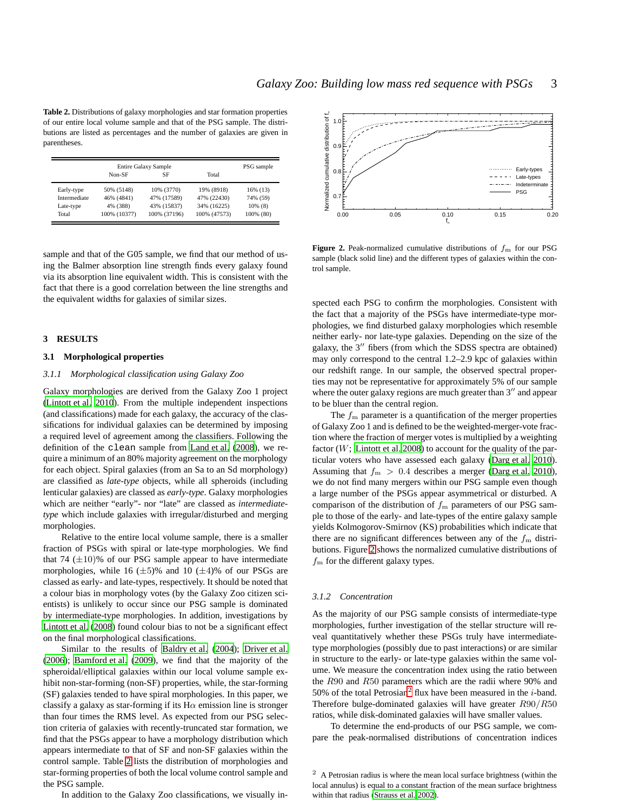<span id="page-2-0"></span>**Table 2.** Distributions of galaxy morphologies and star formation properties of our entire local volume sample and that of the PSG sample. The distributions are listed as percentages and the number of galaxies are given in parentheses.

|              |              | Entire Galaxy Sample |              | PSG sample |  |  |
|--------------|--------------|----------------------|--------------|------------|--|--|
|              | Non-SF       | SF                   | Total        |            |  |  |
| Early-type   | 50% (5148)   | 10% (3770)           | 19% (8918)   | 16% (13)   |  |  |
| Intermediate | 46% (4841)   | 47% (17589)          | 47% (22430)  | 74% (59)   |  |  |
| Late-type    | 4% (388)     | 43% (15837)          | 34% (16225)  | $10\%$ (8) |  |  |
| Total        | 100% (10377) | 100% (37196)         | 100% (47573) | 100% (80)  |  |  |

sample and that of the G05 sample, we find that our method of using the Balmer absorption line strength finds every galaxy found via its absorption line equivalent width. This is consistent with the fact that there is a good correlation between the line strengths and the equivalent widths for galaxies of similar sizes.

### **3 RESULTS**

### **3.1 Morphological properties**

#### *3.1.1 Morphological classification using Galaxy Zoo*

Galaxy morphologies are derived from the Galaxy Zoo 1 project [\(Lintott et al. 2010](#page-7-25)). From the multiple independent inspections (and classifications) made for each galaxy, the accuracy of the classifications for individual galaxies can be determined by imposing a required level of agreement among the classifiers. Following the definition of the clean sample from [Land et al.](#page-7-36) [\(2008](#page-7-36)), we require a minimum of an 80% majority agreement on the morphology for each object. Spiral galaxies (from an Sa to an Sd morphology) are classified as *late-type* objects, while all spheroids (including lenticular galaxies) are classed as *early-type*. Galaxy morphologies which are neither "early"- nor "late" are classed as *intermediatetype* which include galaxies with irregular/disturbed and merging morphologies.

Relative to the entire local volume sample, there is a smaller fraction of PSGs with spiral or late-type morphologies. We find that 74  $(\pm 10)$ % of our PSG sample appear to have intermediate morphologies, while 16  $(\pm 5)$ % and 10  $(\pm 4)$ % of our PSGs are classed as early- and late-types, respectively. It should be noted that a colour bias in morphology votes (by the Galaxy Zoo citizen scientists) is unlikely to occur since our PSG sample is dominated by intermediate-type morphologies. In addition, investigations by [Lintott et al.](#page-7-26) [\(2008](#page-7-26)) found colour bias to not be a significant effect on the final morphological classifications.

Similar to the results of [Baldry et al. \(2004](#page-7-0)); [Driver et al.](#page-7-37) [\(2006](#page-7-37)); [Bamford et al. \(2009](#page-7-38)), we find that the majority of the spheroidal/elliptical galaxies within our local volume sample exhibit non-star-forming (non-SF) properties, while, the star-forming (SF) galaxies tended to have spiral morphologies. In this paper, we classify a galaxy as star-forming if its  $H\alpha$  emission line is stronger than four times the RMS level. As expected from our PSG selection criteria of galaxies with recently-truncated star formation, we find that the PSGs appear to have a morphology distribution which appears intermediate to that of SF and non-SF galaxies within the control sample. Table [2](#page-2-0) lists the distribution of morphologies and star-forming properties of both the local volume control sample and the PSG sample.

In addition to the Galaxy Zoo classifications, we visually in-



<span id="page-2-1"></span>**Figure 2.** Peak-normalized cumulative distributions of  $f<sub>m</sub>$  for our PSG sample (black solid line) and the different types of galaxies within the control sample.

spected each PSG to confirm the morphologies. Consistent with the fact that a majority of the PSGs have intermediate-type morphologies, we find disturbed galaxy morphologies which resemble neither early- nor late-type galaxies. Depending on the size of the galaxy, the 3′′ fibers (from which the SDSS spectra are obtained) may only correspond to the central 1.2–2.9 kpc of galaxies within our redshift range. In our sample, the observed spectral properties may not be representative for approximately 5% of our sample where the outer galaxy regions are much greater than 3<sup>"</sup> and appear to be bluer than the central region.

The  $f<sub>m</sub>$  parameter is a quantification of the merger properties of Galaxy Zoo 1 and is defined to be the weighted-merger-vote fraction where the fraction of merger votes is multiplied by a weighting factor ( $W$ ; [Lintott et al. 2008](#page-7-26)) to account for the quality of the particular voters who have assessed each galaxy [\(Darg et al. 2010](#page-7-39)). Assuming that  $f_{\rm m} > 0.4$  describes a merger [\(Darg et al. 2010](#page-7-39)), we do not find many mergers within our PSG sample even though a large number of the PSGs appear asymmetrical or disturbed. A comparison of the distribution of  $f<sub>m</sub>$  parameters of our PSG sample to those of the early- and late-types of the entire galaxy sample yields Kolmogorov-Smirnov (KS) probabilities which indicate that there are no significant differences between any of the  $f<sub>m</sub>$  distributions. Figure [2](#page-2-1) shows the normalized cumulative distributions of  $f<sub>m</sub>$  for the different galaxy types.

### *3.1.2 Concentration*

As the majority of our PSG sample consists of intermediate-type morphologies, further investigation of the stellar structure will reveal quantitatively whether these PSGs truly have intermediatetype morphologies (possibly due to past interactions) or are similar in structure to the early- or late-type galaxies within the same volume. We measure the concentration index using the ratio between the R90 and R50 parameters which are the radii where 90% and 50% of the total Petrosian<sup>[2](#page-2-2)</sup> flux have been measured in the  $i$ -band. Therefore bulge-dominated galaxies will have greater R90/R50 ratios, while disk-dominated galaxies will have smaller values.

To determine the end-products of our PSG sample, we compare the peak-normalised distributions of concentration indices

<span id="page-2-2"></span><sup>2</sup> A Petrosian radius is where the mean local surface brightness (within the local annulus) is equal to a constant fraction of the mean surface brightness within that radius [\(Strauss et al. 2002\)](#page-8-9).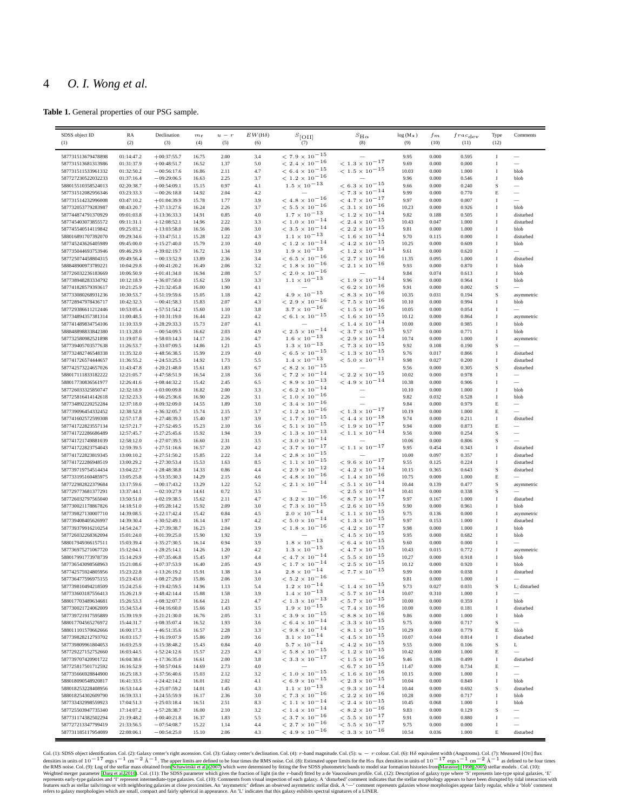**Table 1.** General properties of our PSG sample.

<span id="page-3-0"></span>

| SDSS object ID                           | RA                       | Declination                    | $m_{\rm r}$ | $u - r$ | $EW({\rm H}\delta)$ | $s_{\rm [OII]}$                                          | $s_{H\alpha}$                                                        | $log(M_{\star})$ | $f_m$ | $frac_{\text{dev}}$ | Type         | Comments                 |
|------------------------------------------|--------------------------|--------------------------------|-------------|---------|---------------------|----------------------------------------------------------|----------------------------------------------------------------------|------------------|-------|---------------------|--------------|--------------------------|
| (1)                                      | (2)                      | (3)                            | (4)         | (5)     | (6)                 | (7)                                                      | (8)                                                                  | (9)              | (10)  | (11)                | (12)         |                          |
|                                          |                          |                                |             |         |                     |                                                          |                                                                      |                  |       |                     |              |                          |
| 587731513679478898                       | 01:14:47.2               | $+00:37:55.7$                  | 16.75       | 2.00    | 3.4                 | $< 7.9 \times 10^{-15}$                                  |                                                                      | 9.95             | 0.000 | 0.595               | 1            | $\overline{\phantom{m}}$ |
| 587731513681313986                       | 01:31:37.9               | $+00:48:51.7$                  | 16.52       | 1.37    | 5.0                 | $< 2.4 \times 10^{-16}$                                  | $< 1.3 \times 10^{-17}$                                              | 9.69             | 0.000 | 0.000               | I            | $\overline{\phantom{0}}$ |
| 587731511533961332                       | 01:32:50.2               | $-00:56:17.6$                  | 16.86       | 2.11    | 4.7                 | $< 6.4 \times 10^{-15}$                                  | $< 1.5 \times 10^{-15}$                                              | 10.03            | 0.000 | 1.000               | I            | blob                     |
| 587727230522032233                       | 01:37:16.4               | $-09:29:06.5$                  | 16.63       | 2.25    | 3.7                 | $<$ 1.2 $\times$ $10^{-16}$                              | $\overline{\phantom{m}}$                                             | 9.96             | 0.000 | 0.546               | I            | blob                     |
| 588015510358524013                       | 02:20:38.7               | $+00:54:09.1$                  | 15.15       | 0.97    | 4.1                 | $1.5 \times 10^{-13}$                                    | $< 6.3 \times 10^{-15}$                                              | 9.66             | 0.000 | 0.240               | S            |                          |
| 587731512082956346                       | 03:23:33.3               | $-00:26:18.8$                  | 14.92       | 2.04    | 4.2                 |                                                          | $< 7.3 \times 10^{-14}$                                              | 9.99             | 0.000 | 0.770               | E            |                          |
| 587731514232996008                       | 03:47:10.2               | $+01:04:39.9$                  | 15.78       | 1.77    | 3.9                 | $<$ 4.8 $\times$ $10^{-16}$                              | $< 4.7 \times 10^{-17}$                                              | 9.97             | 0.000 | 0.007               | I            | $\overline{\phantom{0}}$ |
| 587732053779283987                       |                          |                                |             |         |                     | $<$ 5.5 $\times$ $10^{-16}$                              | $< 3.1 \times 10^{-16}$                                              |                  |       |                     |              |                          |
|                                          | 08:43:20.7               | $+37:13:27.6$                  | 16.24       | 2.26    | 3.7                 |                                                          |                                                                      | 10.23            | 0.000 | 0.926               | I            | blob                     |
| 587744874791370929                       | 09:01:03.8               | $+13:36:33.3$                  | 14.91       | 0.85    | 4.0                 | $1.7 \times 10^{-13}$                                    | $< 1.2 \times 10^{-14}$                                              | 9.82             | 0.188 | 0.505               | I            | disturbed                |
| 587745403073855572                       | 09:11:31.1               | $+12:08:52.1$                  | 14.96       | 2.22    | 3.3                 | $< 1.0 \times 10^{-14}$                                  | $<$ 2.4 $\times$ $10^{-15}$                                          | 10.43            | 0.047 | 1.000               | I            | disturbed                |
| 587745540514119842                       | 09:25:03.2               | $+13:03:58.0$                  | 16.56       | 2.06    | 3.0                 | $<$ 3.5 $\times$ $10^{-14}$                              | $< 2.2 \times 10^{-15}$                                              | 9.81             | 0.000 | 1.000               | $\mathbf I$  | blob                     |
| 588016891707392070                       | 09:29:34.6               | $+33:47:51.1$                  | 15.28       | 1.22    | 4.3                 | $1.1 \times 10^{-13}$                                    | $< 1.6 \times 10^{-14}$                                              | 9.70             | 0.115 | 0.000               | I            | disturbed                |
| 587745243626405989                       | 09:45:00.0               | $+15:27:40.0$                  | 15.79       | 2.10    | 4.0                 | $< 1.2 \times 10^{-14}$                                  | $< 4.2 \times 10^{-15}$                                              | 10.25            | 0.000 | 0.609               | I            | blob                     |
| 587735044693753946                       | 09:46:29.9               | $+39:02:19.7$                  | 16.72       | 1.34    | 3.9                 | $1.9 \times 10^{-13}$                                    | $< 1.2 \times 10^{-14}$                                              | 9.61             | 0.000 | 0.620               | I            |                          |
| 587725074458804315                       | 09:49:56.4               | $-00:13:52.9$                  | 13.89       | 2.36    | 3.4                 | $<$ 6.5 $\times$ 10 $^{-16}$                             | $<$ 2.7 $\times$ $10^{-16}$                                          | 11.35            | 0.095 | 1.000               | $\mathbf I$  | disturbed                |
| 588848900973789221                       | 10:04:29.8               | $+00:41:20.2$                  | 16.49       | 2.06    | 3.2                 | $<$ 1.8 $\times$ $10^{-16}$                              | $< 2.1 \times 10^{-16}$                                              | 9.93             | 0.000 | 0.870               | $\mathbf I$  | blob                     |
| 587726032236183669                       |                          |                                | 16.94       |         | 5.7                 | $<$ 2.0 $\times$ 10 $^{-16}$                             |                                                                      | 9.84             |       | 0.613               | I            |                          |
|                                          | 10:06:50.9               | $+01:41:34.0$                  |             | 2.08    |                     |                                                          |                                                                      |                  | 0.074 |                     |              | blob                     |
| 587738948283334792                       | 10:12:18.9               | $+36:07:50.0$                  | 15.62       | 1.59    | 3.3                 | $1.1 \times 10^{-13}$                                    | $< 1.9 \times 10^{-14}$                                              | 9.96             | 0.000 | 0.964               | I            | blob                     |
| 587741828579393617                       | 10:21:25.9               | $+21:32:45.8$                  | 16.00       | 1.90    | 4.1                 |                                                          | $< 6.2 \times 10^{-16}$                                              | 9.91             | 0.000 | 0.002               | S            |                          |
| 587733080268931236                       | 10:30:53.7               | $+51:19:59.6$                  | 15.05       | 1.18    | 4.2                 | $4.9\times10^{-15}$                                      | $< 8.3 \times 10^{-16}$                                              | 10.35            | 0.031 | 0.194               | $\rm S$      | asymmetric               |
| 587728947978436717                       | 10:42:32.3               | $-00:41:58.3$                  | 15.83       | 2.07    | 4.3                 | $<$ 2.9 $\times$ $10^{-16}$                              | $<$ 7.5 $\times$ 10 $^{-16}$                                         | 10.10            | 0.000 | 0.994               | I            | blob                     |
| 587729386611212446                       | 10:53:05.4               | $+57:51:54.2$                  | 15.60       | 1.10    | 3.8                 | $3.7 \times 10^{-16}$                                    | $<$ 1.5 $\times$ 10 <sup>-16</sup>                                   | 10.05            | 0.000 | 0.054               | 1            | $\overline{\phantom{a}}$ |
| 587734894357381314                       | 11:00:48.5               | $+10:31:19.0$                  | 16.44       | 2.23    | 4.2                 | $< 6.1 \times 10^{-15}$                                  | $< 1.6 \times 10^{-15}$                                              | 10.12            | 0.000 | 0.864               | I            | asymmetric               |
| 587741489834754106                       | 11:10:33.9               | $+28:29:33.3$                  | 15.73       | 2.07    | 4.1                 |                                                          | $< 1.4 \times 10^{-14}$                                              | 10.00            | 0.000 | 0.985               | I            | blob                     |
| 588848898833842380                       | 11:13:28.0               | $-00:54:09.5$                  | 16.62       | 2.03    | 4.9                 | $< 2.5 \times 10^{-14}$                                  | $< 3.7 \times 10^{-15}$                                              | 9.57             | 0.000 | 0.771               | I            | blob                     |
| 587732580982521898                       | 11:19:07.6               | $+58:03:14.3$                  | 14.17       | 2.16    | 4.7                 | $1.6 \times 10^{-13}$                                    | $<$ 2.9 $\times$ 10 $^{-14}$                                         | 10.74            | 0.000 | 1.000               | I            |                          |
|                                          |                          |                                |             |         |                     |                                                          |                                                                      |                  |       |                     |              | asymmetric               |
| 587739405703577638                       | 11:26:53.7               | $+33:07:09.5$                  | 14.86       | 1.21    | 4.5                 | $1.3 \times 10^{-13}$                                    | $< 7.3 \times 10^{-15}$                                              | 9.92             | 0.108 | 0.190               | S            | -                        |
| 587732482746548338                       | 11:35:32.0               | $+48:56:38.5$                  | 15.99       | 2.19    | 4.0                 | $< 6.5 \times 10^{-15}$                                  | $< 1.3 \times 10^{-15}$                                              | 9.76             | 0.017 | 0.866               | $\mathbf I$  | disturbed                |
| 587741726574444657                       | 11:36:55.2               | $+24:53:25.5$                  | 14.92       | 1.73    | 5.5                 | $1.4 \times 10^{-13}$                                    | $< 5.0 \times 10^{-11}$                                              | 9.98             | 0.027 | 0.200               | I            | disturbed                |
| 587742573224657026                       | 11:43:47.8               | $+20:21:48.0$                  | 15.61       | 1.83    | 6.7                 | $<$ 8.2 $\times$ $10^{-15}$                              |                                                                      | 9.56             | 0.000 | 0.305               | S            | disturbed                |
| 588017111833182222                       | 12:21:05.7               | $+47:58:51.9$                  | 16.54       | 2.18    | 3.6                 | $< 7.2 \times 10^{-14}$                                  | $< 2.2 \times 10^{-15}$                                              | 10.02            | 0.000 | 0.978               | I            |                          |
| 588017730836561977                       | 12:26:41.6               | $+08:44:32.2$                  | 15.42       | 2.45    | 6.5                 | $<$ 8.9 $\times$ $10^{-13}$                              | $< 4.9 \times 10^{-14}$                                              | 10.38            | 0.000 | 0.906               | I            | $\overline{\phantom{a}}$ |
| 587726033325850747                       | 12:32:18.9               | $+03:00:09.8$                  | 16.82       | 2.00    | 3.3                 | $< 6.2 \times 10^{-14}$                                  |                                                                      | 10.10            | 0.000 | 1.000               | I            | blob                     |
| 587725816414142618                       | 12:32:23.3               | $+66:25:36.6$                  | 16.90       | 2.26    | 3.1                 | $< 1.0 \times 10^{-16}$                                  |                                                                      | 9.82             | 0.032 | 0.528               | I            | blob                     |
| 587734892220252284                       | 12:37:18.0               | $+09:32:09.0$                  | 14.55       | 1.89    | 3.0                 | $<$ 3.4 $\times$ $10^{-16}$                              |                                                                      | 9.84             | 0.000 | 0.979               | E            |                          |
| 587739096454332452                       |                          |                                |             |         |                     | $<$ 1.2 $\times$ 10 $^{-16}$                             | $<$ 1.3 $\times$ 10 <sup>-17</sup>                                   | 10.19            |       |                     |              |                          |
| 587741602572599308                       | 12:38:52.8<br>12:57:17.8 | $+36:32:05.7$                  | 15.74       | 2.15    | 3.7                 |                                                          |                                                                      |                  | 0.000 | 1.000               | E            |                          |
|                                          |                          | $+27:48:39.3$                  | 15.40       | 1.97    | 3.9                 | $<$ 1.7 $\times$ 10 $^{-15}$                             | $<$ 4.4 $\times$ $10^{-18}$                                          | 9.74             | 0.000 | 0.211               | I            | disturbed                |
| 587741722823557134                       | 12:57:21.7               | $+27:52:49.5$                  | 15.23       | 2.10    | 3.6                 | $< 5.1 \times 10^{-15}$                                  | $<$ 1.9 $\times$ 10 $^{-17}$                                         | 9.94             | 0.000 | 0.873               | E            |                          |
| 587741722286686489                       | 12:57:45.7               | $+27:25:45.6$                  | 15.92       | 1.94    | 3.9                 | $<$ 1.3 $\times$ 10 <sup>-13</sup>                       | $< 1.1 \times 10^{-14}$                                              | 9.56             | 0.000 | 0.254               | $\rm S$      |                          |
| 587741721749881039                       | 12:58:12.0               | $+27:07:39.5$                  | 16.60       | 2.31    | 3.5                 | $<$ 3.0 $\times$ $10^{-14}$                              |                                                                      | 10.06            | 0.000 | 0.806               | S            |                          |
| 587741722823754043                       | 12:59:39.5               | $+27:51:16.6$                  | 16.57       | 2.20    | 4.2                 | $<$ 3.7 $\times$ $10^{-17}$                              | $< 1.1 \times 10^{-17}$                                              | 9.95             | 0.454 | 0.343               | 1            | disturbed                |
| 587741722823819345                       | 13:00:10.2               | $+27:51:50.2$                  | 15.85       | 2.22    | 3.4                 | $<$ 2.8 $\times$ 10 $^{-15}$                             |                                                                      | 10.00            | 0.097 | 0.357               | I            | disturbed                |
| 587741722286948519                       | 13:00:29.2               | $+27:30:53.4$                  | 15.53       | 1.63    | 8.5                 | $<$ 1.1 $\times$ 10 $^{-15}$                             | $< 9.6 \times 10^{-17}$                                              | 9.55             | 0.125 | 0.224               | I            | disturbed                |
| 587739719754514434                       | 13:04:22.7               | $+28:48:38.8$                  | 14.33       | 0.86    | 4.4                 | $<$ 2.9 $\times$ $10^{-12}$                              | $< 4.2 \times 10^{-14}$                                              | 10.15            | 0.365 | 0.643               | $\rm S$      | disturbed                |
| 587733195160485975                       |                          |                                | 14.29       |         | 4.6                 | $<$ 4.8 $\times$ $10^{-16}$                              | $< 1.4 \times 10^{-16}$                                              | 10.75            |       | 1.000               | Е            |                          |
|                                          | 13:05:25.8               | $+53:35:30.3$                  |             | 2.15    |                     |                                                          |                                                                      |                  | 0.000 |                     |              |                          |
| 587722982822379684                       | 13:17:59.6               | $-00:17:43.2$                  | 13.29       | 1.22    | 5.2                 | $<$ 2.1 $\times$ $10^{-14}$                              | $<5.1\times10^{-14}$                                                 | 10.44            | 0.139 | 0.477               | s            | asymmetric               |
| 587729773681377291                       | 13:37:44.1               | $-02:10:27.9$                  | 14.61       | 0.72    | 3.5                 | $\qquad \qquad -$                                        | $<$ 2.5 $\times$ $10^{-14}$                                          | 10.41            | 0.000 | 0.338               | S            |                          |
| 587726032797565040                       | 13:50:51.0               | $+02:19:38.5$                  | 15.62       | 2.11    | 4.7                 | $<$ 3.2 $\times$ $10^{-16}$                              | $<$ 8.7 $\times$ $10^{-17}$                                          | 9.97             | 0.167 | 1.000               | $\rm I$      | disturbed                |
| 587730021178867826                       | 14:18:51.0               | $+05:28:14.2$                  | 15.92       | 2.09    | 3.0                 | $< 7.3 \times 10^{-15}$                                  | $< 2.6 \times 10^{-15}$                                              | 9.90             | 0.000 | 0.961               | 1            | blob                     |
| 587739827130007710                       | 14:39:08.5               | $+22:17:42.4$                  | 15.42       | 0.84    | 4.5                 | $2.0 \times 10^{-14}$                                    | $< 1.1 \times 10^{-15}$                                              | 9.75             | 0.136 | 0.000               | I            | asymmetric               |
| 587739408405626997                       | 14:39:30.4               | $+30:52:49.1$                  | 16.14       | 1.97    | 4.2                 | $< 5.0 \times 10^{-14}$                                  | $<$ 1.3 $\times$ 10 <sup>-15</sup>                                   | 9.97             | 0.153 | 1.000               | I            | disturbed                |
| 587739379916210254                       | 14:54:24.7               | $+27:39:38.7$                  | 16.23       | 2.04    | 3.9                 | $<$ 1.8 $\times$ 10 $^{-16}$                             | $<$ 4.2 $\times$ $10^{-17}$                                          | 9.98             | 0.000 | 1.000               | $\mathbf I$  | blob                     |
| 587726032268362094                       | 15:01:24.0               | $+01:39:25.0$                  | 15.90       | 1.92    | 3.9                 |                                                          | $< 4.5 \times 10^{-15}$                                              | 9.95             | 0.000 | 0.682               | I            | blob                     |
| 588017949366157511                       | 15:03:39.4               | $+35:27:30.5$                  | 16.14       | 0.94    | 3.9                 | $1.8\times10^{-13}$                                      | $< 6.4 \times 10^{-15}$                                              | 9.60             | 0.000 | 0.000               | I            |                          |
| 587736975271067720                       | 15:12:04.1               | $+28:25:14.1$                  | 14.26       | 1.20    | 4.2                 | $1.3 \times 10^{-15}$                                    | $< 4.7 \times 10^{-15}$                                              | 10.43            | 0.015 | 0.772               | I            |                          |
|                                          |                          |                                |             |         |                     | $<$ 4.7 $\times$ $10^{-14}$                              | $<\hspace{1mm}5.5\hspace{1mm}\times\hspace{1mm}10^{\hspace{1mm}-15}$ |                  |       |                     |              | asymmetric               |
| 588017991773978739<br>587736543098568963 | 15:14:29.9               | $+07:35:46.8$<br>$+07:37:53.9$ | 15.45       | 1.97    | 4.4                 | $<$ 1.7 $\times$ 10 $^{-14}$                             | $<$ 2.5 $\times$ $10^{-15}$                                          | 10.27            | 0.000 | 0.918               | I<br>I       | blob                     |
|                                          | 15:21:08.6               |                                | 16.40       | 2.05    | 4.9                 |                                                          |                                                                      | 10.12            | 0.000 | 0.920               |              | blob                     |
| 587742575924805956                       | 15:23:22.8               | $+13:26:19.2$                  | 15.91       | 1.38    | 3.4                 | $2.8 \times 10^{-14}$                                    | $<$ 7.7 $\times$ $10^{-15}$                                          | 9.99             | 0.000 | 0.038               | I            | disturbed                |
| 587736477596975155                       | 15:23:43.0               | $+08:27:29.0$                  | 15.86       | 2.06    | 3.0                 | $<\hspace{1mm}5.2\hspace{1mm}\times\hspace{1mm}10^{-16}$ |                                                                      | 9.81             | 0.000 | 1.000               | $\mathbf{I}$ |                          |
| 587739810494218509                       | 15:24:25.6               | $+19:42:59.5$                  | 14.96       | 1.13    | 5.4                 | $1.2\times10^{-14}$                                      | $< 1.4 \times 10^{-15}$                                              | 9.73             | 0.027 | 0.031               | s            | L; disturbed             |
| 587733603187556413                       | 15:26:21.9               | $+48:42:14.4$                  | 15.88       | 1.58    | 3.9                 | $1.4 \times 10^{-13}$                                    | $<$ 5.7 $\times$ $10^{-14}$                                          | 10.07            | 0.310 | 1.000               | I            |                          |
| 588017703489634681                       | 15:26:53.3               | $+08:32:07.7$                  | 16.64       | 2.21    | 4.7                 | $<$ 1.3 $\times$ 10 $^{-13}$                             | $<\hspace{1mm}5.7\hspace{1mm}\times\hspace{1mm}10^{\hspace{1mm}-15}$ | 10.00            | 0.000 | 0.359               | I            | blob                     |
| 587730021724062009                       | 15:34:53.4               | $+04:16:60.0$                  | 15.66       | 1.43    | 3.5                 | $1.9\times10^{-15}$                                      | $<$ 7.4 $\times$ $10^{-16}$                                          | 10.00            | 0.000 | 0.181               | Ι            | disturbed                |
| 587739721917595889                       | 15:39:19.9               | $+21:21:30.0$                  | 16.76       | 2.05    | 3.1                 | $< 3.9 \times 10^{-15}$                                  | $< 8.8 \times 10^{-16}$                                              | 9.86             | 0.000 | 1.000               | I            |                          |
| 588017704565276972                       | 15:44:31.7               | $+08:35:07.4$                  | 16.52       | 1.93    | 3.6                 | $< 6.4 \times 10^{-14}$                                  | $< 3.3 \times 10^{-15}$                                              | 9.75             | 0.000 | 0.717               | s            | blob                     |
|                                          |                          |                                |             |         |                     |                                                          |                                                                      |                  |       |                     |              |                          |
| 588011101570662666                       | 16:00:17.3               | $+46:51:35.6$                  | 16.57       | 2.28    | 3.3                 | $< 9.8 \times 10^{-14}$                                  | $< 8.1 \times 10^{-15}$                                              | 10.29            | 0.000 | 0.779               | E            | blob                     |
| 587739828212793702                       | 16:03:15.7               | $+16:19:07.9$                  | 15.86       | 2.09    | 3.6                 | $3.1 \times 10^{-14}$                                    | $< 4.5 \times 10^{-15}$                                              | 10.07            | 0.044 | 0.814               | I            | disturbed                |
| 587739809961804053                       | 16:03:25.9               | $+15:38:48.2$                  | 15.43       | 0.84    | 4.0                 | $5.7\times10^{-14}$                                      | $< 4.2 \times 10^{-15}$                                              | 9.55             | 0.000 | 0.106               | s            | L                        |
| 587729227152752660                       | 16:03:44.5               | $+52:24:12.6$                  | 15.57       | 2.23    | 4.3                 | $<$ 5.8 $\times$ $10^{-15}$                              | $< 1.2 \times 10^{-15}$                                              | 10.42            | 0.000 | 1.000               | E            | $\overline{\phantom{a}}$ |
| 587739707420901722                       | 16:04:38.6               | $+17:36:35.0$                  | 16.61       | 2.00    | 3.8                 | $<$ 3.3 $\times$ $10^{-17}$                              | $<$ 1.5 $\times$ 10 $^{-16}$                                         | 9.46             | 0.186 | 0.499               | I            | disturbed                |
| 587725817501712592                       | 16:16:52.9               | $+50:57:04.6$                  | 14.69       | 2.73    | 4.0                 |                                                          | $< 6.7 \times 10^{-15}$                                              | 11.47            | 0.000 | 0.734               | E            |                          |
| 587735666928844900                       | 16:25:18.3               | $+37:56:40.6$                  | 15.03       | 2.12    | 3.2                 | $<$ 1.0 $\times$ 10 $^{-15}$                             | $< 1.6 \times 10^{-16}$                                              | 10.15            | 0.000 | 1.000               | I            | $\overline{\phantom{a}}$ |
| 588018090548920817                       | 16:41:33.5               | $+24:42:14.2$                  | 16.01       | 2.02    | 4.1                 | $<$ 6.9 $\times$ $10^{-15}$                              | $< 2.3 \times 10^{-15}$                                              | 10.04            | 0.000 | 0.849               | Ι            | blob                     |
| 588018253228408956                       | 16:53:14.4               | $+25:07:59.2$                  | 14.01       | 1.45    | 4.3                 | $1.1 \times 10^{-13}$                                    | $< 9.3 \times 10^{-14}$                                              | 10.44            | 0.000 | 0.692               | s            | disturbed                |
|                                          |                          |                                |             |         |                     |                                                          |                                                                      |                  |       |                     |              |                          |
| 588018254302609790                       | 16:59:33.1               | $+24:55:59.9$                  | 16.17       | 2.36    | 3.0                 | $< 7.3 \times 10^{-16}$                                  | $< 2.2 \times 10^{-16}$                                              | 10.28            | 0.000 | 0.717               | I            | blob                     |
| 587733432998559923                       | 17:04:51.3               | $+25:03:18.4$                  | 16.51       | 2.51    | 8.3                 | $<$ 1.1 $\times$ $10^{-14}$                              | $< 2.4 \times 10^{-15}$                                              | 10.45            | 0.068 | 1.000               | I            | blob                     |
| 587725503947735340                       | 17:14:07.2               | $+57:28:38.7$                  | 16.00       | 2.10    | 3.2                 | $< 1.4 \times 10^{-14}$                                  | $< 8.2 \times 10^{-16}$                                              | 9.83             | 0.000 | 0.129               | s            | -                        |
| 587731174382502294                       | 21:19:48.2               | $+00:40:21.8$                  | 16.37       | 1.83    | 5.5                 | $<$ 3.7 $\times$ $10^{-16}$                              | $<$ 5.5 $\times$ $10^{-17}$                                          | 9.91             | 0.000 | 0.880               | I            |                          |
| 587727213347799419                       | 21:33:56.5               | $-07:54:08.7$                  | 15.22       | 1.14    | 4.4                 | $<$ 2.7 $\times$ 10 $^{-16}$                             | $< 5.5 \times 10^{-17}$                                              | 9.75             | 0.000 | 0.000               | I            | $\overline{\phantom{0}}$ |
| 587731185117954089                       | 22:08:06.1               | $-00:54:25.0$                  | 15.10       | 2.06    | 4.3                 | $< 4.9 \times 10^{-16}$                                  | $< 3.3 \times 10^{-16}$                                              | 10.54            | 0.036 | 1.000               | E            | disturbed                |

Col. (1): SDSS object identification. Col. (2): Galaxy center's right ascension. Col. (3): Galaxy center's declination. Col. (4):  $r$ -band magnitude. Col. (5):  $u - r$  colour. Col. (6): Ho equivalent width (Angstroms). Col.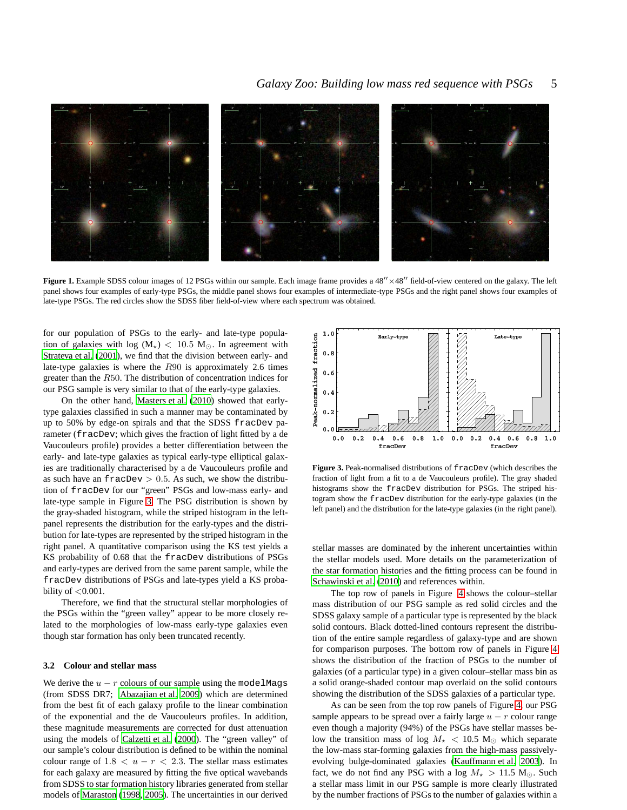

<span id="page-4-0"></span>Figure 1. Example SDSS colour images of 12 PSGs within our sample. Each image frame provides a 48<sup>'</sup>/×48<sup>'</sup> field-of-view centered on the galaxy. The left panel shows four examples of early-type PSGs, the middle panel shows four examples of intermediate-type PSGs and the right panel shows four examples of late-type PSGs. The red circles show the SDSS fiber field-of-view where each spectrum was obtained.

for our population of PSGs to the early- and late-type population of galaxies with log ( $M_{\star}$ ) < 10.5 M<sub>☉</sub>. In agreement with [Strateva et al. \(2001](#page-8-0)), we find that the division between early- and late-type galaxies is where the R90 is approximately 2.6 times greater than the R50. The distribution of concentration indices for our PSG sample is very similar to that of the early-type galaxies.

On the other hand, [Masters et al. \(2010](#page-7-42)) showed that earlytype galaxies classified in such a manner may be contaminated by up to 50% by edge-on spirals and that the SDSS fracDev parameter (fracDev; which gives the fraction of light fitted by a de Vaucouleurs profile) provides a better differentiation between the early- and late-type galaxies as typical early-type elliptical galaxies are traditionally characterised by a de Vaucouleurs profile and as such have an  $fracDev > 0.5$ . As such, we show the distribution of fracDev for our "green" PSGs and low-mass early- and late-type sample in Figure [3.](#page-4-1) The PSG distribution is shown by the gray-shaded histogram, while the striped histogram in the leftpanel represents the distribution for the early-types and the distribution for late-types are represented by the striped histogram in the right panel. A quantitative comparison using the KS test yields a KS probability of 0.68 that the fracDev distributions of PSGs and early-types are derived from the same parent sample, while the fracDev distributions of PSGs and late-types yield a KS probability of  $<$  0.001.

Therefore, we find that the structural stellar morphologies of the PSGs within the "green valley" appear to be more closely related to the morphologies of low-mass early-type galaxies even though star formation has only been truncated recently.

### **3.2 Colour and stellar mass**

We derive the  $u - r$  colours of our sample using the modelMags (from SDSS DR7; [Abazajian et al. 2009\)](#page-7-28) which are determined from the best fit of each galaxy profile to the linear combination of the exponential and the de Vaucouleurs profiles. In addition, these magnitude measurements are corrected for dust attenuation using the models of [Calzetti et al.](#page-7-43) [\(2000](#page-7-43)). The "green valley" of our sample's colour distribution is defined to be within the nominal colour range of  $1.8 < u - r < 2.3$ . The stellar mass estimates for each galaxy are measured by fitting the five optical wavebands from SDSS to star formation history libraries generated from stellar models of [Maraston \(1998](#page-7-40), [2005](#page-7-41)). The uncertainties in our derived



<span id="page-4-1"></span>**Figure 3.** Peak-normalised distributions of fracDev (which describes the fraction of light from a fit to a de Vaucouleurs profile). The gray shaded histograms show the fracDev distribution for PSGs. The striped histogram show the fracDev distribution for the early-type galaxies (in the left panel) and the distribution for the late-type galaxies (in the right panel).

stellar masses are dominated by the inherent uncertainties within the stellar models used. More details on the parameterization of the star formation histories and the fitting process can be found in [Schawinski et al. \(2010](#page-8-10)) and references within.

The top row of panels in Figure [4](#page-5-0) shows the colour–stellar mass distribution of our PSG sample as red solid circles and the SDSS galaxy sample of a particular type is represented by the black solid contours. Black dotted-lined contours represent the distribution of the entire sample regardless of galaxy-type and are shown for comparison purposes. The bottom row of panels in Figure [4](#page-5-0) shows the distribution of the fraction of PSGs to the number of galaxies (of a particular type) in a given colour–stellar mass bin as a solid orange-shaded contour map overlaid on the solid contours showing the distribution of the SDSS galaxies of a particular type.

As can be seen from the top row panels of Figure [4,](#page-5-0) our PSG sample appears to be spread over a fairly large  $u - r$  colour range even though a majority (94%) of the PSGs have stellar masses below the transition mass of log  $M_{\star}$  < 10.5 M<sub>☉</sub> which separate the low-mass star-forming galaxies from the high-mass passivelyevolving bulge-dominated galaxies [\(Kauffmann et al. 2003](#page-7-44)). In fact, we do not find any PSG with a log  $M_{\star} > 11.5$  M<sub>☉</sub>. Such a stellar mass limit in our PSG sample is more clearly illustrated by the number fractions of PSGs to the number of galaxies within a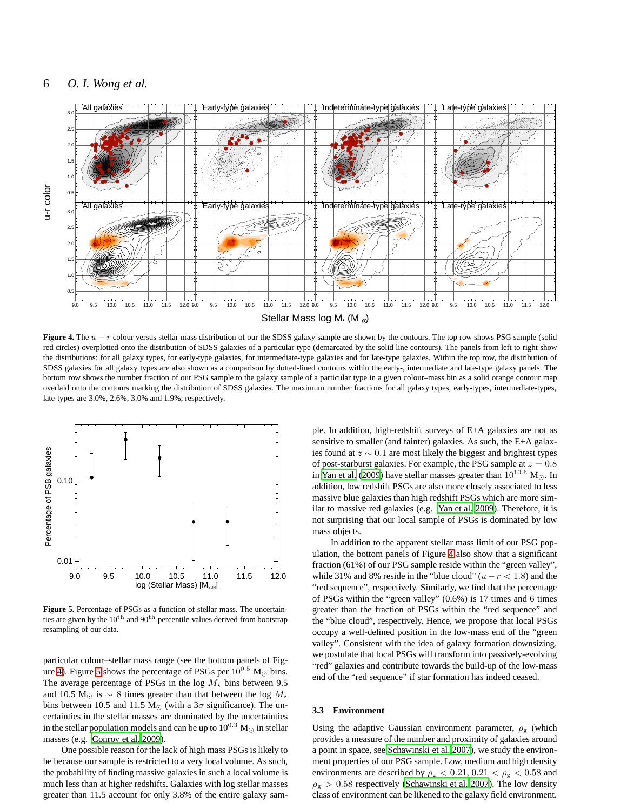

<span id="page-5-0"></span>**Figure 4.** The u − r colour versus stellar mass distribution of our the SDSS galaxy sample are shown by the contours. The top row shows PSG sample (solid red circles) overplotted onto the distribution of SDSS galaxies of a particular type (demarcated by the solid line contours). The panels from left to right show the distributions: for all galaxy types, for early-type galaxies, for intermediate-type galaxies and for late-type galaxies. Within the top row, the distribution of SDSS galaxies for all galaxy types are also shown as a comparison by dotted-lined contours within the early-, intermediate and late-type galaxy panels. The bottom row shows the number fraction of our PSG sample to the galaxy sample of a particular type in a given colour–mass bin as a solid orange contour map overlaid onto the contours marking the distribution of SDSS galaxies. The maximum number fractions for all galaxy types, early-types, intermediate-types, late-types are 3.0%, 2.6%, 3.0% and 1.9%; respectively.



<span id="page-5-1"></span>**Figure 5.** Percentage of PSGs as a function of stellar mass. The uncertainties are given by the  $10^{th}$  and  $90^{th}$  percentile values derived from bootstrap resampling of our data.

particular colour–stellar mass range (see the bottom panels of Fig-ure [4\)](#page-5-0). Figure [5](#page-5-1) shows the percentage of PSGs per  $10^{0.5}$  M<sub> $\odot$ </sub> bins. The average percentage of PSGs in the log  $M_{\star}$  bins between 9.5 and 10.5 M⊙ is  $\sim 8$  times greater than that between the log  $M_{\star}$ bins between 10.5 and 11.5 M<sub>☉</sub> (with a  $3\sigma$  significance). The uncertainties in the stellar masses are dominated by the uncertainties in the stellar population models and can be up to  $10^{0.3}~\mathrm{M}_{\odot}$  in stellar masses (e.g. [Conroy et al. 2009\)](#page-7-45).

One possible reason for the lack of high mass PSGs is likely to be because our sample is restricted to a very local volume. As such, the probability of finding massive galaxies in such a local volume is much less than at higher redshifts. Galaxies with log stellar masses greater than 11.5 account for only 3.8% of the entire galaxy sam-

ple. In addition, high-redshift surveys of E+A galaxies are not as sensitive to smaller (and fainter) galaxies. As such, the E+A galaxies found at  $z \sim 0.1$  are most likely the biggest and brightest types of post-starburst galaxies. For example, the PSG sample at  $z = 0.8$ in [Yan et al.](#page-8-2) [\(2009](#page-8-2)) have stellar masses greater than  $10^{10.6}$  M<sub> $\odot$ </sub>. In addition, low redshift PSGs are also more closely associated to less massive blue galaxies than high redshift PSGs which are more similar to massive red galaxies (e.g. [Yan et al. 2009](#page-8-2)). Therefore, it is not surprising that our local sample of PSGs is dominated by low mass objects.

In addition to the apparent stellar mass limit of our PSG population, the bottom panels of Figure [4](#page-5-0) also show that a significant fraction (61%) of our PSG sample reside within the "green valley", while 31% and 8% reside in the "blue cloud" ( $u-r < 1.8$ ) and the "red sequence", respectively. Similarly, we find that the percentage of PSGs within the "green valley" (0.6%) is 17 times and 6 times greater than the fraction of PSGs within the "red sequence" and the "blue cloud", respectively. Hence, we propose that local PSGs occupy a well-defined position in the low-mass end of the "green valley". Consistent with the idea of galaxy formation downsizing, we postulate that local PSGs will transform into passively-evolving "red" galaxies and contribute towards the build-up of the low-mass end of the "red sequence" if star formation has indeed ceased.

### **3.3 Environment**

Using the adaptive Gaussian environment parameter,  $\rho_{\rm g}$  (which provides a measure of the number and proximity of galaxies around a point in space, see [Schawinski et al. 2007](#page-8-11)), we study the environment properties of our PSG sample. Low, medium and high density environments are described by  $\rho_{\rm g} < 0.21, 0.21 < \rho_{\rm g} < 0.58$  and  $\rho_{\rm g} > 0.58$  respectively [\(Schawinski et al. 2007](#page-8-11)). The low density class of environment can be likened to the galaxy field environment.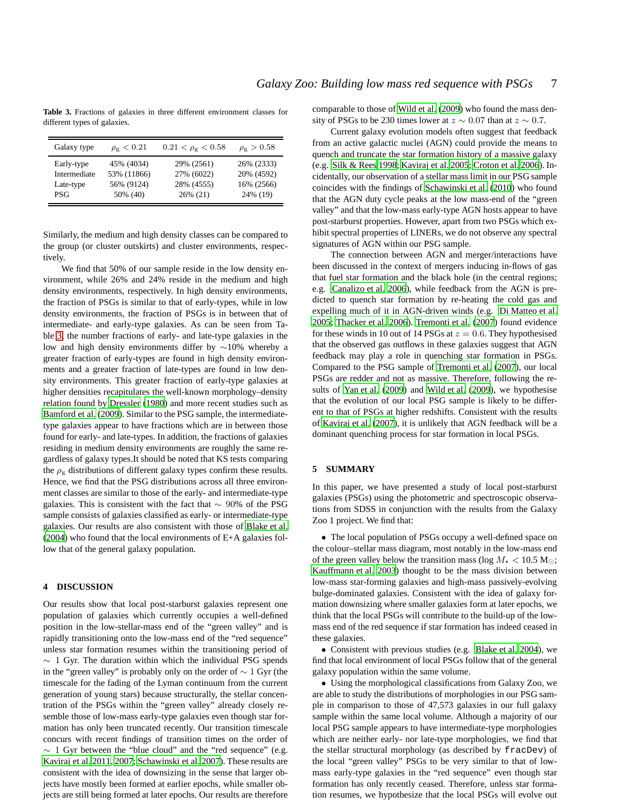<span id="page-6-0"></span>**Table 3.** Fractions of galaxies in three different environment classes for different types of galaxies.

| Galaxy type  | $\rho_{\rm g} < 0.21$ | $0.21 < \rho_{\rm g} < 0.58$ | $\rho_{\rm g} > 0.58$ |
|--------------|-----------------------|------------------------------|-----------------------|
| Early-type   | 45% (4034)            | 29% (2561)                   | 26% (2333)            |
| Intermediate | 53% (11866)           | 27% (6022)                   | 20% (4592)            |
| Late-type    | 56% (9124)            | 28% (4555)                   | 16% (2566)            |
| PSG          | 50% (40)              | $26\%$ (21)                  | 24% (19)              |

Similarly, the medium and high density classes can be compared to the group (or cluster outskirts) and cluster environments, respectively.

We find that 50% of our sample reside in the low density environment, while 26% and 24% reside in the medium and high density environments, respectively. In high density environments, the fraction of PSGs is similar to that of early-types, while in low density environments, the fraction of PSGs is in between that of intermediate- and early-type galaxies. As can be seen from Table [3,](#page-6-0) the number fractions of early- and late-type galaxies in the low and high density environments differ by ∼10% whereby a greater fraction of early-types are found in high density environments and a greater fraction of late-types are found in low density environments. This greater fraction of early-type galaxies at higher densities recapitulates the well-known morphology–density relation found by [Dressler](#page-7-46) [\(1980](#page-7-46)) and more recent studies such as [Bamford et al. \(2009](#page-7-38)). Similar to the PSG sample, the intermediatetype galaxies appear to have fractions which are in between those found for early- and late-types. In addition, the fractions of galaxies residing in medium density environments are roughly the same regardless of galaxy types.It should be noted that KS tests comparing the  $\rho_{\rm g}$  distributions of different galaxy types confirm these results. Hence, we find that the PSG distributions across all three environment classes are similar to those of the early- and intermediate-type galaxies. This is consistent with the fact that  $\sim$  90% of the PSG sample consists of galaxies classified as early- or intermediate-type galaxies. Our results are also consistent with those of [Blake et al.](#page-7-22) [\(2004\)](#page-7-22) who found that the local environments of E+A galaxies follow that of the general galaxy population.

### **4 DISCUSSION**

Our results show that local post-starburst galaxies represent one population of galaxies which currently occupies a well-defined position in the low-stellar-mass end of the "green valley" and is rapidly transitioning onto the low-mass end of the "red sequence" unless star formation resumes within the transitioning period of  $\sim$  1 Gyr. The duration within which the individual PSG spends in the "green valley" is probably only on the order of  $\sim 1$  Gyr (the timescale for the fading of the Lyman continuum from the current generation of young stars) because structurally, the stellar concentration of the PSGs within the "green valley" already closely resemble those of low-mass early-type galaxies even though star formation has only been truncated recently. Our transition timescale concurs with recent findings of transition times on the order of  $\sim$  1 Gyr between the "blue cloud" and the "red sequence" (e.g. [Kaviraj et al. 2011](#page-7-47), [2007](#page-7-24); [Schawinski et al. 2007\)](#page-8-1). These results are consistent with the idea of downsizing in the sense that larger objects have mostly been formed at earlier epochs, while smaller objects are still being formed at later epochs. Our results are therefore comparable to those of [Wild et al. \(2009](#page-8-3)) who found the mass density of PSGs to be 230 times lower at  $z \sim 0.07$  than at  $z \sim 0.7$ .

Current galaxy evolution models often suggest that feedback from an active galactic nuclei (AGN) could provide the means to quench and truncate the star formation history of a massive galaxy (e.g. [Silk & Rees 1998;](#page-8-12) [Kaviraj et al. 2005](#page-7-48); [Croton et al. 2006\)](#page-7-49). Incidentally, our observation of a stellar mass limit in our PSG sample coincides with the findings of [Schawinski et al. \(2010\)](#page-8-10) who found that the AGN duty cycle peaks at the low mass-end of the "green valley" and that the low-mass early-type AGN hosts appear to have post-starburst properties. However, apart from two PSGs which exhibit spectral properties of LINERs, we do not observe any spectral signatures of AGN within our PSG sample.

The connection between AGN and merger/interactions have been discussed in the context of mergers inducing in-flows of gas that fuel star formation and the black hole (in the central regions; e.g. [Canalizo et al. 2006\)](#page-7-50), while feedback from the AGN is predicted to quench star formation by re-heating the cold gas and expelling much of it in AGN-driven winds (e.g. [Di Matteo et al.](#page-7-51) [2005](#page-7-51); [Thacker et al. 2006](#page-8-13)). [Tremonti et al. \(2007\)](#page-8-14) found evidence for these winds in 10 out of 14 PSGs at  $z = 0.6$ . They hypothesised that the observed gas outflows in these galaxies suggest that AGN feedback may play a role in quenching star formation in PSGs. Compared to the PSG sample of [Tremonti et al. \(2007\)](#page-8-14), our local PSGs are redder and not as massive. Therefore, following the results of [Yan et al. \(2009](#page-8-2)) and [Wild et al. \(2009](#page-8-3)), we hypothesise that the evolution of our local PSG sample is likely to be different to that of PSGs at higher redshifts. Consistent with the results of [Kaviraj et al. \(2007\)](#page-7-24), it is unlikely that AGN feedback will be a dominant quenching process for star formation in local PSGs.

### **5 SUMMARY**

In this paper, we have presented a study of local post-starburst galaxies (PSGs) using the photometric and spectroscopic observations from SDSS in conjunction with the results from the Galaxy Zoo 1 project. We find that:

• The local population of PSGs occupy a well-defined space on the colour–stellar mass diagram, most notably in the low-mass end of the green valley below the transition mass (log  $M_{\star}$  < 10.5 M<sub>☉</sub>; [Kauffmann et al. 2003\)](#page-7-44) thought to be the mass division between low-mass star-forming galaxies and high-mass passively-evolving bulge-dominated galaxies. Consistent with the idea of galaxy formation downsizing where smaller galaxies form at later epochs, we think that the local PSGs will contribute to the build-up of the lowmass end of the red sequence if star formation has indeed ceased in these galaxies.

• Consistent with previous studies (e.g. [Blake et al. 2004\)](#page-7-22), we find that local environment of local PSGs follow that of the general galaxy population within the same volume.

• Using the morphological classifications from Galaxy Zoo, we are able to study the distributions of morphologies in our PSG sample in comparison to those of 47,573 galaxies in our full galaxy sample within the same local volume. Although a majority of our local PSG sample appears to have intermediate-type morphologies which are neither early- nor late-type morphologies, we find that the stellar structural morphology (as described by fracDev) of the local "green valley" PSGs to be very similar to that of lowmass early-type galaxies in the "red sequence" even though star formation has only recently ceased. Therefore, unless star formation resumes, we hypothesize that the local PSGs will evolve out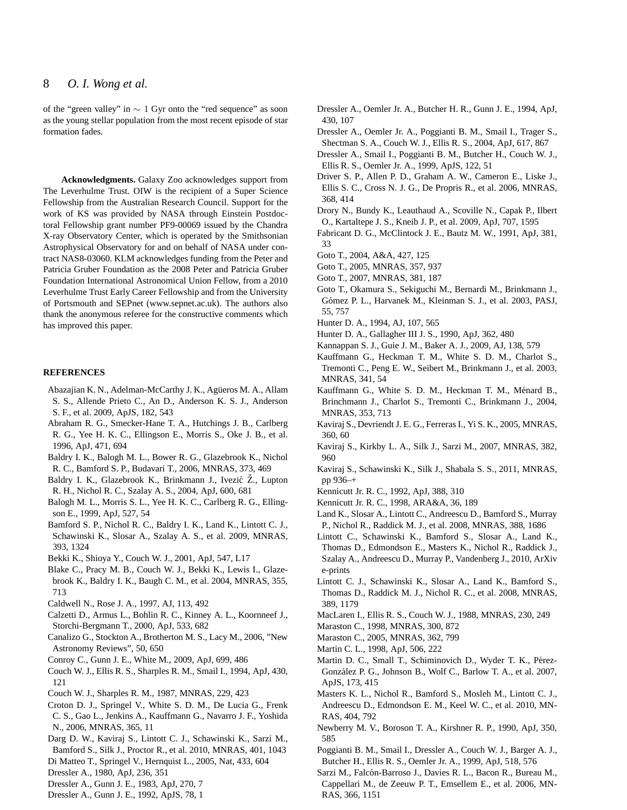of the "green valley" in ∼ 1 Gyr onto the "red sequence" as soon as the young stellar population from the most recent episode of star formation fades.

**Acknowledgments.** Galaxy Zoo acknowledges support from The Leverhulme Trust. OIW is the recipient of a Super Science Fellowship from the Australian Research Council. Support for the work of KS was provided by NASA through Einstein Postdoctoral Fellowship grant number PF9-00069 issued by the Chandra X-ray Observatory Center, which is operated by the Smithsonian Astrophysical Observatory for and on behalf of NASA under contract NAS8-03060. KLM acknowledges funding from the Peter and Patricia Gruber Foundation as the 2008 Peter and Patricia Gruber Foundation International Astronomical Union Fellow, from a 2010 Leverhulme Trust Early Career Fellowship and from the University of Portsmouth and SEPnet (www.sepnet.ac.uk). The authors also thank the anonymous referee for the constructive comments which has improved this paper.

### **REFERENCES**

- <span id="page-7-28"></span>Abazajian K. N., Adelman-McCarthy J. K., Agüeros M. A., Allam S. S., Allende Prieto C., An D., Anderson K. S. J., Anderson S. F., et al. 2009, ApJS, 182, 543
- <span id="page-7-13"></span>Abraham R. G., Smecker-Hane T. A., Hutchings J. B., Carlberg R. G., Yee H. K. C., Ellingson E., Morris S., Oke J. B., et al. 1996, ApJ, 471, 694
- <span id="page-7-1"></span>Baldry I. K., Balogh M. L., Bower R. G., Glazebrook K., Nichol R. C., Bamford S. P., Budavari T., 2006, MNRAS, 373, 469
- <span id="page-7-0"></span>Baldry I. K., Glazebrook K., Brinkmann J., Ivezić Z., Lupton R. H., Nichol R. C., Szalay A. S., 2004, ApJ, 600, 681
- <span id="page-7-30"></span>Balogh M. L., Morris S. L., Yee H. K. C., Carlberg R. G., Ellingson E., 1999, ApJ, 527, 54
- <span id="page-7-38"></span>Bamford S. P., Nichol R. C., Baldry I. K., Land K., Lintott C. J., Schawinski K., Slosar A., Szalay A. S., et al. 2009, MNRAS, 393, 1324
- <span id="page-7-23"></span>Bekki K., Shioya Y., Couch W. J., 2001, ApJ, 547, L17
- <span id="page-7-22"></span>Blake C., Pracy M. B., Couch W. J., Bekki K., Lewis I., Glazebrook K., Baldry I. K., Baugh C. M., et al. 2004, MNRAS, 355, 713
- <span id="page-7-21"></span>Caldwell N., Rose J. A., 1997, AJ, 113, 492
- <span id="page-7-43"></span>Calzetti D., Armus L., Bohlin R. C., Kinney A. L., Koornneef J., Storchi-Bergmann T., 2000, ApJ, 533, 682
- <span id="page-7-50"></span>Canalizo G., Stockton A., Brotherton M. S., Lacy M., 2006, "New Astronomy Reviews", 50, 650
- <span id="page-7-45"></span>Conroy C., Gunn J. E., White M., 2009, ApJ, 699, 486
- <span id="page-7-19"></span>Couch W. J., Ellis R. S., Sharples R. M., Smail I., 1994, ApJ, 430, 121
- <span id="page-7-9"></span>Couch W. J., Sharples R. M., 1987, MNRAS, 229, 423
- <span id="page-7-49"></span>Croton D. J., Springel V., White S. D. M., De Lucia G., Frenk C. S., Gao L., Jenkins A., Kauffmann G., Navarro J. F., Yoshida N., 2006, MNRAS, 365, 11
- <span id="page-7-39"></span>Darg D. W., Kaviraj S., Lintott C. J., Schawinski K., Sarzi M., Bamford S., Silk J., Proctor R., et al. 2010, MNRAS, 401, 1043
- <span id="page-7-51"></span>Di Matteo T., Springel V., Hernquist L., 2005, Nat, 433, 604
- <span id="page-7-46"></span>Dressler A., 1980, ApJ, 236, 351
- <span id="page-7-5"></span>Dressler A., Gunn J. E., 1983, ApJ, 270, 7
- <span id="page-7-6"></span>Dressler A., Gunn J. E., 1992, ApJS, 78, 1
- <span id="page-7-20"></span>Dressler A., Oemler Jr. A., Butcher H. R., Gunn J. E., 1994, ApJ, 430, 107
- <span id="page-7-8"></span>Dressler A., Oemler Jr. A., Poggianti B. M., Smail I., Trager S., Shectman S. A., Couch W. J., Ellis R. S., 2004, ApJ, 617, 867
- <span id="page-7-7"></span>Dressler A., Smail I., Poggianti B. M., Butcher H., Couch W. J., Ellis R. S., Oemler Jr. A., 1999, ApJS, 122, 51
- <span id="page-7-37"></span>Driver S. P., Allen P. D., Graham A. W., Cameron E., Liske J., Ellis S. C., Cross N. J. G., De Propris R., et al. 2006, MNRAS, 368, 414
- <span id="page-7-3"></span>Drory N., Bundy K., Leauthaud A., Scoville N., Capak P., Ilbert O., Kartaltepe J. S., Kneib J. P., et al. 2009, ApJ, 707, 1595
- <span id="page-7-12"></span>Fabricant D. G., McClintock J. E., Bautz M. W., 1991, ApJ, 381, 33
- <span id="page-7-16"></span>Goto T., 2004, A&A, 427, 125
- <span id="page-7-17"></span>Goto T., 2005, MNRAS, 357, 937
- <span id="page-7-18"></span>Goto T., 2007, MNRAS, 381, 187
- <span id="page-7-15"></span>Goto T., Okamura S., Sekiguchi M., Bernardi M., Brinkmann J., Gómez P. L., Harvanek M., Kleinman S. J., et al. 2003, PASJ, 55, 757
- <span id="page-7-33"></span>Hunter D. A., 1994, AJ, 107, 565
- <span id="page-7-32"></span>Hunter D. A., Gallagher III J. S., 1990, ApJ, 362, 480
- <span id="page-7-27"></span>Kannappan S. J., Guie J. M., Baker A. J., 2009, AJ, 138, 579
- <span id="page-7-44"></span>Kauffmann G., Heckman T. M., White S. D. M., Charlot S., Tremonti C., Peng E. W., Seibert M., Brinkmann J., et al. 2003, MNRAS, 341, 54
- <span id="page-7-2"></span>Kauffmann G., White S. D. M., Heckman T. M., Ménard B., Brinchmann J., Charlot S., Tremonti C., Brinkmann J., 2004, MNRAS, 353, 713
- <span id="page-7-48"></span>Kaviraj S., Devriendt J. E. G., Ferreras I., Yi S. K., 2005, MNRAS, 360, 60
- <span id="page-7-24"></span>Kaviraj S., Kirkby L. A., Silk J., Sarzi M., 2007, MNRAS, 382, 960
- <span id="page-7-47"></span>Kaviraj S., Schawinski K., Silk J., Shabala S. S., 2011, MNRAS, pp 936–+
- <span id="page-7-35"></span>Kennicutt Jr. R. C., 1992, ApJ, 388, 310
- <span id="page-7-31"></span>Kennicutt Jr. R. C., 1998, ARA&A, 36, 189
- <span id="page-7-36"></span>Land K., Slosar A., Lintott C., Andreescu D., Bamford S., Murray P., Nichol R., Raddick M. J., et al. 2008, MNRAS, 388, 1686
- <span id="page-7-25"></span>Lintott C., Schawinski K., Bamford S., Slosar A., Land K., Thomas D., Edmondson E., Masters K., Nichol R., Raddick J., Szalay A., Andreescu D., Murray P., Vandenberg J., 2010, ArXiv e-prints
- <span id="page-7-26"></span>Lintott C. J., Schawinski K., Slosar A., Land K., Bamford S., Thomas D., Raddick M. J., Nichol R. C., et al. 2008, MNRAS, 389, 1179
- <span id="page-7-10"></span>MacLaren I., Ellis R. S., Couch W. J., 1988, MNRAS, 230, 249
- <span id="page-7-40"></span>Maraston C., 1998, MNRAS, 300, 872
- <span id="page-7-41"></span>Maraston C., 2005, MNRAS, 362, 799
- <span id="page-7-34"></span>Martin C. L., 1998, ApJ, 506, 222
- <span id="page-7-4"></span>Martin D. C., Small T., Schiminovich D., Wyder T. K., Pérez-González P. G., Johnson B., Wolf C., Barlow T. A., et al. 2007, ApJS, 173, 415
- <span id="page-7-42"></span>Masters K. L., Nichol R., Bamford S., Mosleh M., Lintott C. J., Andreescu D., Edmondson E. M., Keel W. C., et al. 2010, MN-RAS, 404, 792
- <span id="page-7-11"></span>Newberry M. V., Boroson T. A., Kirshner R. P., 1990, ApJ, 350, 585
- <span id="page-7-14"></span>Poggianti B. M., Smail I., Dressler A., Couch W. J., Barger A. J., Butcher H., Ellis R. S., Oemler Jr. A., 1999, ApJ, 518, 576
- <span id="page-7-29"></span>Sarzi M., Falcón-Barroso J., Davies R. L., Bacon R., Bureau M., Cappellari M., de Zeeuw P. T., Emsellem E., et al. 2006, MN-RAS, 366, 1151